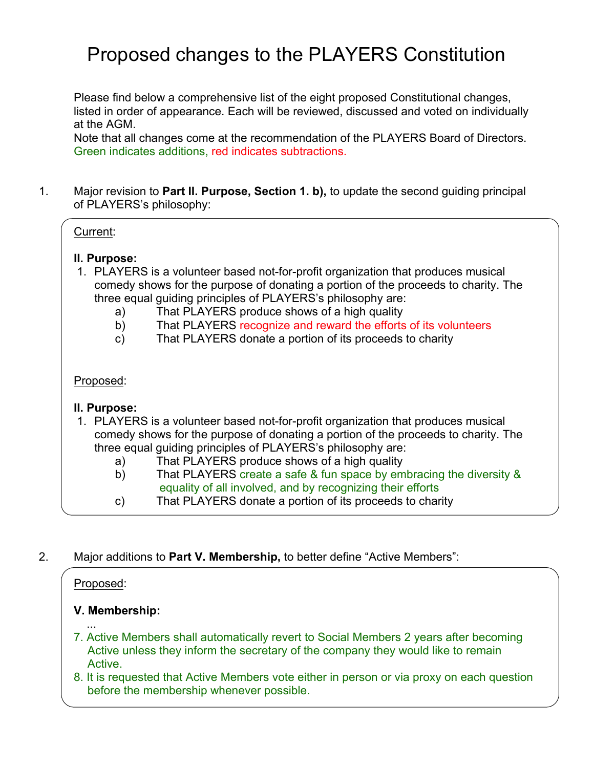Please find below a comprehensive list of the eight proposed Constitutional changes, listed in order of appearance. Each will be reviewed, discussed and voted on individually at the AGM.

Note that all changes come at the recommendation of the PLAYERS Board of Directors. Green indicates additions, red indicates subtractions.

1. Major revision to **Part II. Purpose, Section 1. b),** to update the second guiding principal of PLAYERS's philosophy:

# Current:

#### **II. Purpose:**

- 1. PLAYERS is a volunteer based not-for-profit organization that produces musical comedy shows for the purpose of donating a portion of the proceeds to charity. The three equal guiding principles of PLAYERS's philosophy are:
	- a) That PLAYERS produce shows of a high quality
	- b) That PLAYERS recognize and reward the efforts of its volunteers
	- c) That PLAYERS donate a portion of its proceeds to charity

#### Proposed:

# **II. Purpose:**

- 1. PLAYERS is a volunteer based not-for-profit organization that produces musical comedy shows for the purpose of donating a portion of the proceeds to charity. The three equal guiding principles of PLAYERS's philosophy are:
	- a) That PLAYERS produce shows of a high quality
	- b) That PLAYERS create a safe & fun space by embracing the diversity & equality of all involved, and by recognizing their efforts
	- c) That PLAYERS donate a portion of its proceeds to charity
- 2. Major additions to **Part V. Membership,** to better define "Active Members":

# Proposed:

# **V. Membership:**

- ... 7. Active Members shall automatically revert to Social Members 2 years after becoming Active unless they inform the secretary of the company they would like to remain Active.
- 8. It is requested that Active Members vote either in person or via proxy on each question before the membership whenever possible.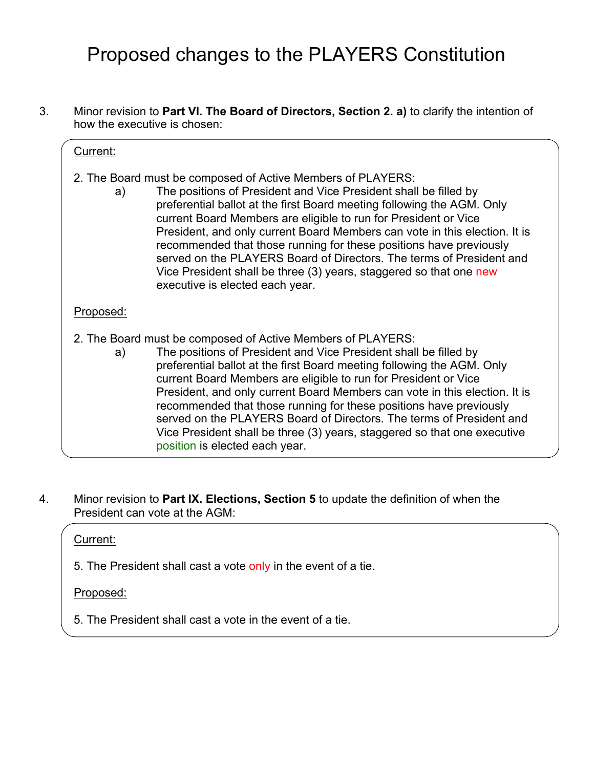3. Minor revision to **Part VI. The Board of Directors, Section 2. a)** to clarify the intention of how the executive is chosen:

#### Current:

- 2. The Board must be composed of Active Members of PLAYERS:
	- a) The positions of President and Vice President shall be filled by preferential ballot at the first Board meeting following the AGM. Only current Board Members are eligible to run for President or Vice President, and only current Board Members can vote in this election. It is recommended that those running for these positions have previously served on the PLAYERS Board of Directors. The terms of President and Vice President shall be three (3) years, staggered so that one new executive is elected each year.

#### Proposed:

- 2. The Board must be composed of Active Members of PLAYERS:
	- a) The positions of President and Vice President shall be filled by preferential ballot at the first Board meeting following the AGM. Only current Board Members are eligible to run for President or Vice President, and only current Board Members can vote in this election. It is recommended that those running for these positions have previously served on the PLAYERS Board of Directors. The terms of President and Vice President shall be three (3) years, staggered so that one executive position is elected each year.
- 4. Minor revision to **Part IX. Elections, Section 5** to update the definition of when the President can vote at the AGM:

#### Current:

5. The President shall cast a vote only in the event of a tie.

#### Proposed:

5. The President shall cast a vote in the event of a tie.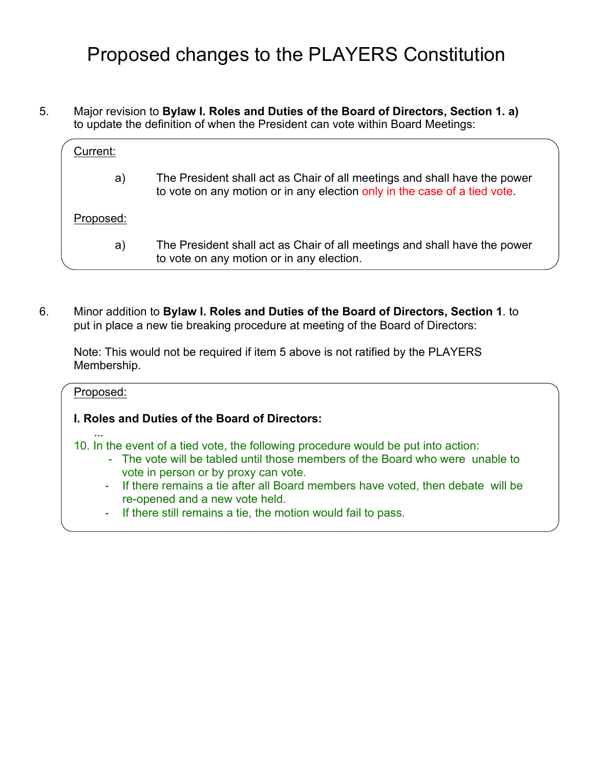5. Major revision to **Bylaw I. Roles and Duties of the Board of Directors, Section 1. a)** to update the definition of when the President can vote within Board Meetings:

| Current:  |                                                                                                                                                        |
|-----------|--------------------------------------------------------------------------------------------------------------------------------------------------------|
| a)        | The President shall act as Chair of all meetings and shall have the power<br>to vote on any motion or in any election only in the case of a tied vote. |
| Proposed: |                                                                                                                                                        |
| a)        | The President shall act as Chair of all meetings and shall have the power<br>to vote on any motion or in any election.                                 |

6. Minor addition to **Bylaw I. Roles and Duties of the Board of Directors, Section 1**. to put in place a new tie breaking procedure at meeting of the Board of Directors:

Note: This would not be required if item 5 above is not ratified by the PLAYERS Membership.

# Proposed: **I. Roles and Duties of the Board of Directors:**  ... 10. In the event of a tied vote, the following procedure would be put into action: - The vote will be tabled until those members of the Board who were unable to vote in person or by proxy can vote. - If there remains a tie after all Board members have voted, then debate will be re-opened and a new vote held. - If there still remains a tie, the motion would fail to pass.